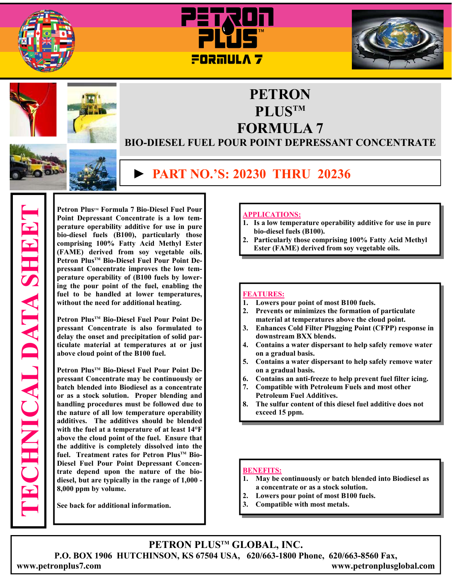





## **PETRON PLUSTM FORMULA 7**

## **BIO-DIESEL FUEL POUR POINT DEPRESSANT CONCENTRATE**

## **► PART NO.'S: 20230 THRU 20236**

**TECHNICAL DATA SHEET CHNICAL DATA SHEET** 

**Petron PlusTM Formula 7 Bio-Diesel Fuel Pour Point Depressant Concentrate is a low temperature operability additive for use in pure bio-diesel fuels (B100), particularly those comprising 100% Fatty Acid Methyl Ester (FAME) derived from soy vegetable oils.**  Petron Plus<sup>™</sup> Bio-Diesel Fuel Pour Point De**pressant Concentrate improves the low temperature operability of (B100 fuels by lowering the pour point of the fuel, enabling the fuel to be handled at lower temperatures, without the need for additional heating.** 

Petron Plus<sup>™</sup> Bio-Diesel Fuel Pour Point De**pressant Concentrate is also formulated to delay the onset and precipitation of solid particulate material at temperatures at or just above cloud point of the B100 fuel.** 

Petron Plus<sup>™</sup> Bio-Diesel Fuel Pour Point De**pressant Concentrate may be continuously or batch blended into Biodiesel as a concentrate or as a stock solution. Proper blending and handling procedures must be followed due to the nature of all low temperature operability additives. The additives should be blended with the fuel at a temperature of at least 14°F above the cloud point of the fuel. Ensure that the additive is completely dissolved into the**  fuel. Treatment rates for Petron Plus<sup>TM</sup> Bio-**Diesel Fuel Pour Point Depressant Concentrate depend upon the nature of the biodiesel, but are typically in the range of 1,000 - 8,000 ppm by volume.** 

**See back for additional information.** 

#### **APPLICATIONS:**

- **1. Is a low temperature operability additive for use in pure bio-diesel fuels (B100).**
- **2. Particularly those comprising 100% Fatty Acid Methyl Ester (FAME) derived from soy vegetable oils.**

#### **FEATURES:**

- **1. Lowers pour point of most B100 fuels.**
- **2. Prevents or minimizes the formation of particulate material at temperatures above the cloud point.**
- **3. Enhances Cold Filter Plugging Point (CFPP) response in downstream BXX blends.**
- **4. Contains a water dispersant to help safely remove water on a gradual basis.**
- **5. Contains a water dispersant to help safely remove water on a gradual basis.**
- **6. Contains an anti-freeze to help prevent fuel filter icing.**
- **7. Compatible with Petroleum Fuels and most other Petroleum Fuel Additives.**
- **8. The sulfur content of this diesel fuel additive does not exceed 15 ppm.**

#### **BENEFITS:**

- **1. May be continuously or batch blended into Biodiesel as a concentrate or as a stock solution.**
- **2. Lowers pour point of most B100 fuels.**
- **3. Compatible with most metals.**

**PETRON PLUSTM GLOBAL, INC. P.O. BOX 1906 HUTCHINSON, KS 67504 USA, 620/663-1800 Phone, 620/663-8560 Fax, www.petronplus7.com www.petronplusglobal.com**